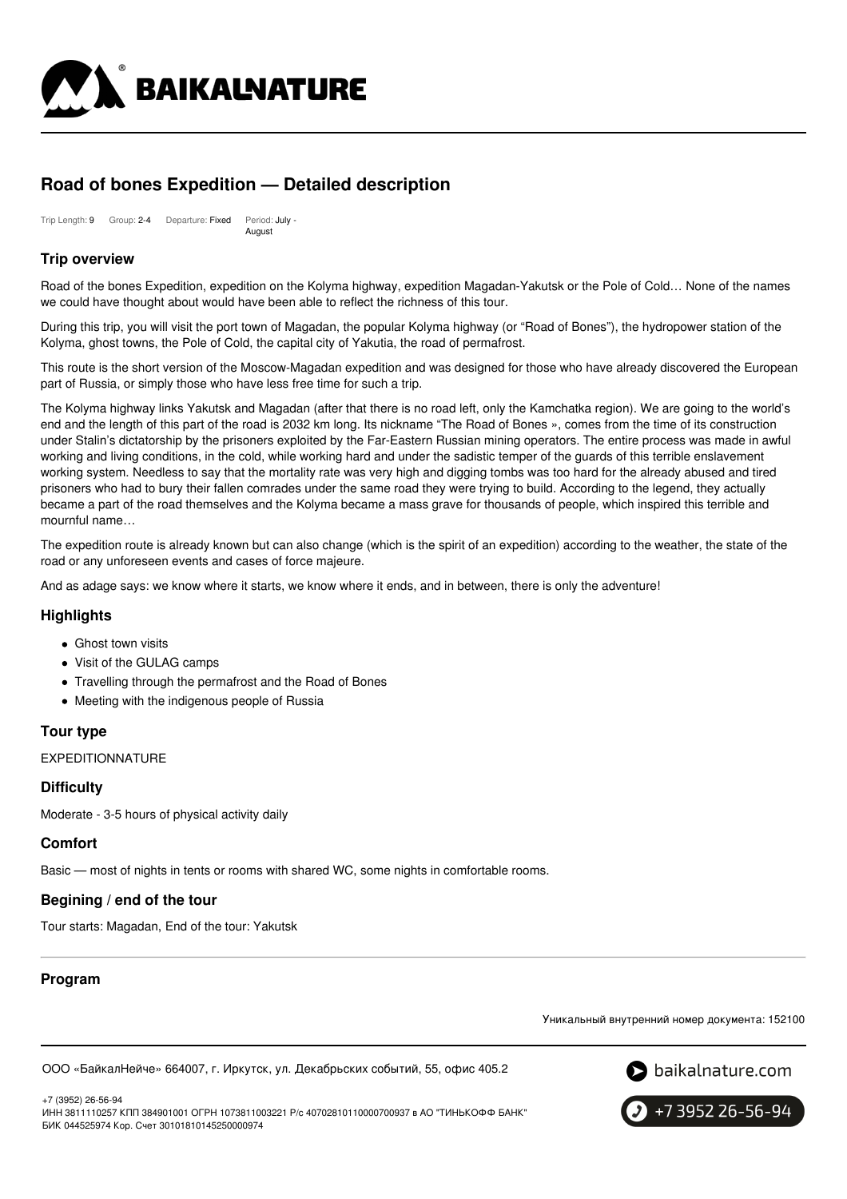

# **Road of bones Expedition — Detailed description**

Trip Length: 9 Group: 2-4 Departure: Fixed Period: July - August

# **Trip overview**

Road of the bones Expedition, expedition on the Kolyma highway, expedition Magadan-Yakutsk or the Pole of Cold… None of the names we could have thought about would have been able to reflect the richness of this tour.

During this trip, you will visit the port town of Magadan, the popular Kolyma highway (or "Road of Bones"), the hydropower station of the Kolyma, ghost towns, the Pole of Cold, the capital city of Yakutia, the road of permafrost.

This route is the short version of the Moscow-Magadan expedition and was designed for those who have already discovered the European part of Russia, or simply those who have less free time for such a trip.

The Kolyma highway links Yakutsk and Magadan (after that there is no road left, only the Kamchatka region). We are going to the world's end and the length of this part of the road is 2032 km long. Its nickname "The Road of Bones », comes from the time of its construction under Stalin's dictatorship by the prisoners exploited by the Far-Eastern Russian mining operators. The entire process was made in awful working and living conditions, in the cold, while working hard and under the sadistic temper of the guards of this terrible enslavement working system. Needless to say that the mortality rate was very high and digging tombs was too hard for the already abused and tired prisoners who had to bury their fallen comrades under the same road they were trying to build. According to the legend, they actually became a part of the road themselves and the Kolyma became a mass grave for thousands of people, which inspired this terrible and mournful name…

The expedition route is already known but can also change (which is the spirit of an expedition) according to the weather, the state of the road or any unforeseen events and cases of force majeure.

And as adage says: we know where it starts, we know where it ends, and in between, there is only the adventure!

## **Highlights**

- Ghost town visits
- Visit of the GULAG camps
- Travelling through the permafrost and the Road of Bones
- Meeting with the indigenous people of Russia

## **Tour type**

EXPEDITIONNATURE

## **Difficulty**

Moderate - 3-5 hours of physical activity daily

## **Comfort**

Basic — most of nights in tents or rooms with shared WC, some nights in comfortable rooms.

## **Begining / end of the tour**

Tour starts: Magadan, End of the tour: Yakutsk

## **Program**

Уникальный внутренний номер документа: 152100

ООО «БайкалНейче» 664007, г. Иркутск, ул. Декабрьских событий, 55, офис 405.2





ИНН 3811110257 КПП 384901001 ОГРН 1073811003221 Р/с 40702810110000700937 в АО "ТИНЬКОФФ БАНК" БИК 044525974 Кор. Счет 30101810145250000974

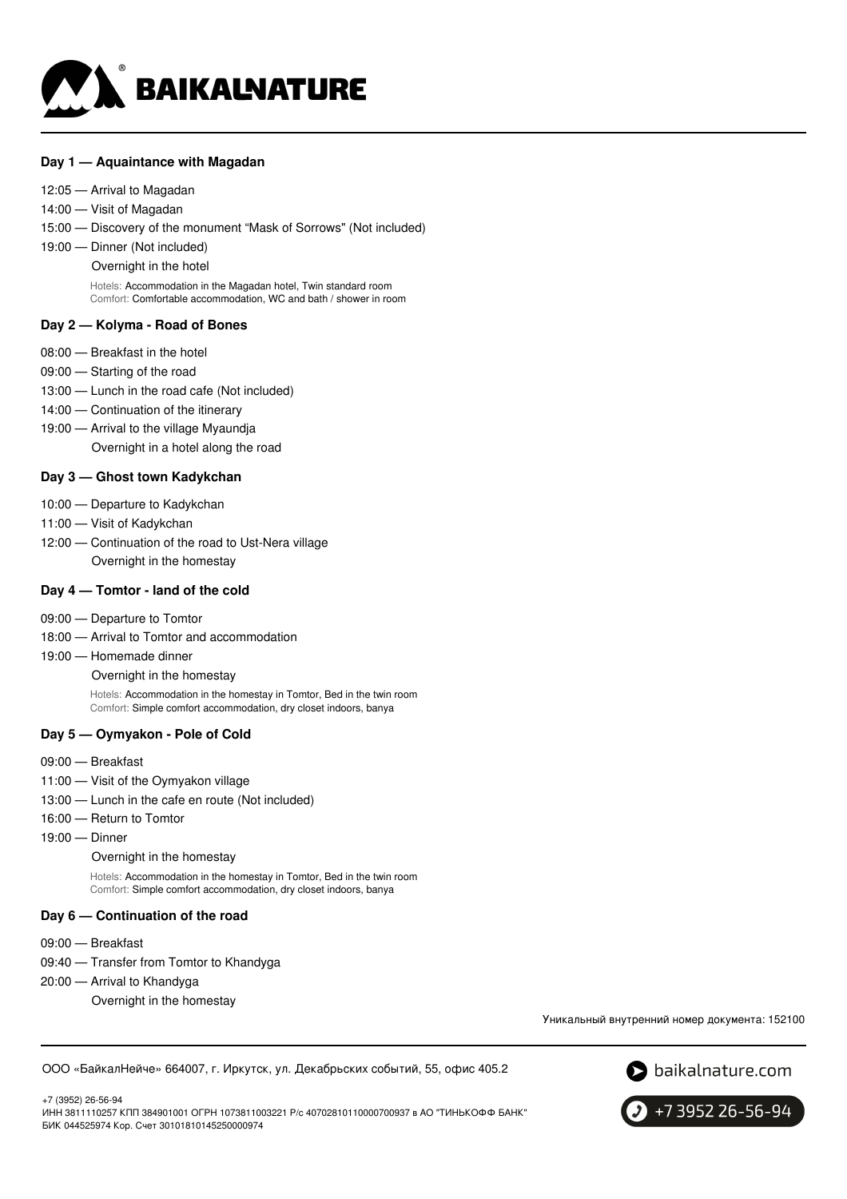

#### **Day 1 — Aquaintance with Magadan**

- 12:05 Arrival to Magadan
- 14:00 Visit of Magadan
- 15:00 Discovery of the monument "Mask of Sorrows" (Not included)
- 19:00 Dinner (Not included)
	- Overnight in the hotel

Hotels: Accommodation in the Magadan hotel, Twin standard room Comfort: Comfortable accommodation, WC and bath / shower in room

#### **Day 2 — Kolyma - Road of Bones**

- 08:00 Breakfast in the hotel
- 09:00 Starting of the road
- 13:00 Lunch in the road cafe (Not included)
- 14:00 Continuation of the itinerary
- 19:00 Arrival to the village Myaundja Overnight in a hotel along the road

#### **Day 3 — Ghost town Kadykchan**

- 10:00 Departure to Kadykchan
- 11:00 Visit of Kadykchan
- 12:00 Continuation of the road to Ust-Nera village Overnight in the homestay

#### **Day 4 — Tomtor - land of the cold**

- 09:00 Departure to Tomtor
- 18:00 Arrival to Tomtor and accommodation
- 19:00 Homemade dinner
	- Overnight in the homestay

Hotels: Accommodation in the homestay in Tomtor, Bed in the twin room Comfort: Simple comfort accommodation, dry closet indoors, banya

#### **Day 5 — Oymyakon - Pole of Cold**

- 09:00 Breakfast
- 11:00 Visit of the Oymyakon village
- 13:00 Lunch in the cafe en route (Not included)
- 16:00 Return to Tomtor
- 19:00 Dinner

Overnight in the homestay

Hotels: Accommodation in the homestay in Tomtor, Bed in the twin room Comfort: Simple comfort accommodation, dry closet indoors, banya

#### **Day 6 — Continuation of the road**

- 09:00 Breakfast
- 09:40 Transfer from Tomtor to Khandyga
- 20:00 Arrival to Khandyga
	- Overnight in the homestay

Уникальный внутренний номер документа: 152100

ООО «БайкалНейче» 664007, г. Иркутск, ул. Декабрьских событий, 55, офис 405.2



+7 (3952) 26-56-94 ИНН 3811110257 КПП 384901001 ОГРН 1073811003221 Р/с 40702810110000700937 в АО "ТИНЬКОФФ БАНК" БИК 044525974 Кор. Счет 30101810145250000974

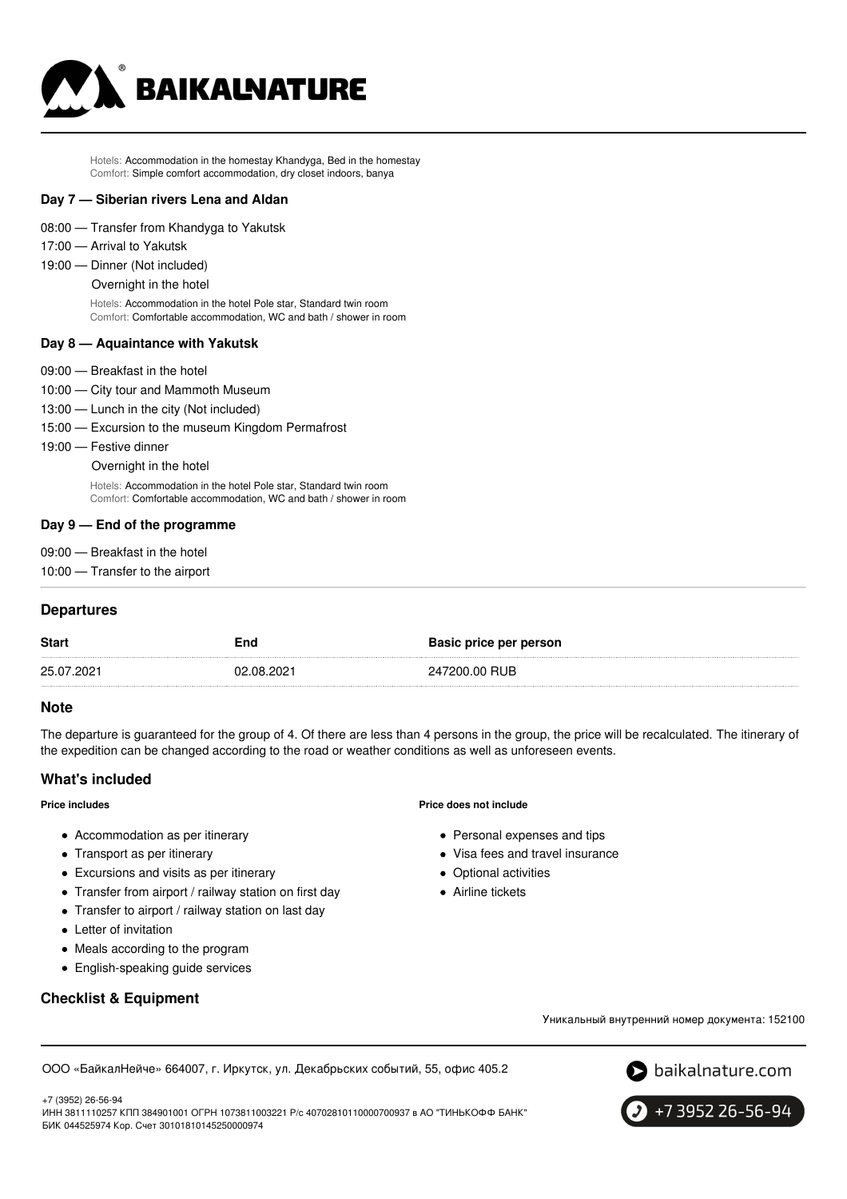

Hotels: Accommodation in the homestay Khandyga, Bed in the homestay Comfort: Simple comfort accommodation, dry closet indoors, banya

#### **Day 7 — Siberian rivers Lena and Aldan**

- 08:00 Transfer from Khandyga to Yakutsk
- 17:00 Arrival to Yakutsk
- 19:00 Dinner (Not included)
	- Overnight in the hotel

Hotels: Accommodation in the hotel Pole star, Standard twin room Comfort: Comfortable accommodation, WC and bath / shower in room

#### **Day 8 — Aquaintance with Yakutsk**

- 09:00 Breakfast in the hotel
- 10:00 City tour and Mammoth Museum
- 13:00 Lunch in the city (Not included)
- 15:00 Excursion to the museum Kingdom Permafrost
- 19:00 Festive dinner
	- Overnight in the hotel

Hotels: Accommodation in the hotel Pole star, Standard twin room Comfort: Comfortable accommodation, WC and bath / shower in room

#### **Day 9 — End of the programme**

- 09:00 Breakfast in the hotel
- 10:00 Transfer to the airport

# **Departures**

| <b>Start</b> | End        | Basic price per person |
|--------------|------------|------------------------|
| 25.07.2021   | 02.08.2021 | 247200.00 RUB          |

#### **Note**

The departure is guaranteed for the group of 4. Of there are less than 4 persons in the group, the price will be recalculated. The itinerary of the expedition can be changed according to the road or weather conditions as well as unforeseen events.

## **What's included**

#### **Price includes**

- Accommodation as per itinerary
- Transport as per itinerary
- Excursions and visits as per itinerary
- Transfer from airport / railway station on first day
- Transfer to airport / railway station on last day
- Letter of invitation
- Meals according to the program
- English-speaking guide services

## **Checklist & Equipment**

#### **Price does not include**

- Personal expenses and tips
- Visa fees and travel insurance
- Optional activities
- Airline tickets

Уникальный внутренний номер документа: 152100

ООО «БайкалНейче» 664007, г. Иркутск, ул. Декабрьских событий, 55, офис 405.2

 $\bullet$  baikalnature.com



+7 3952 26-56-94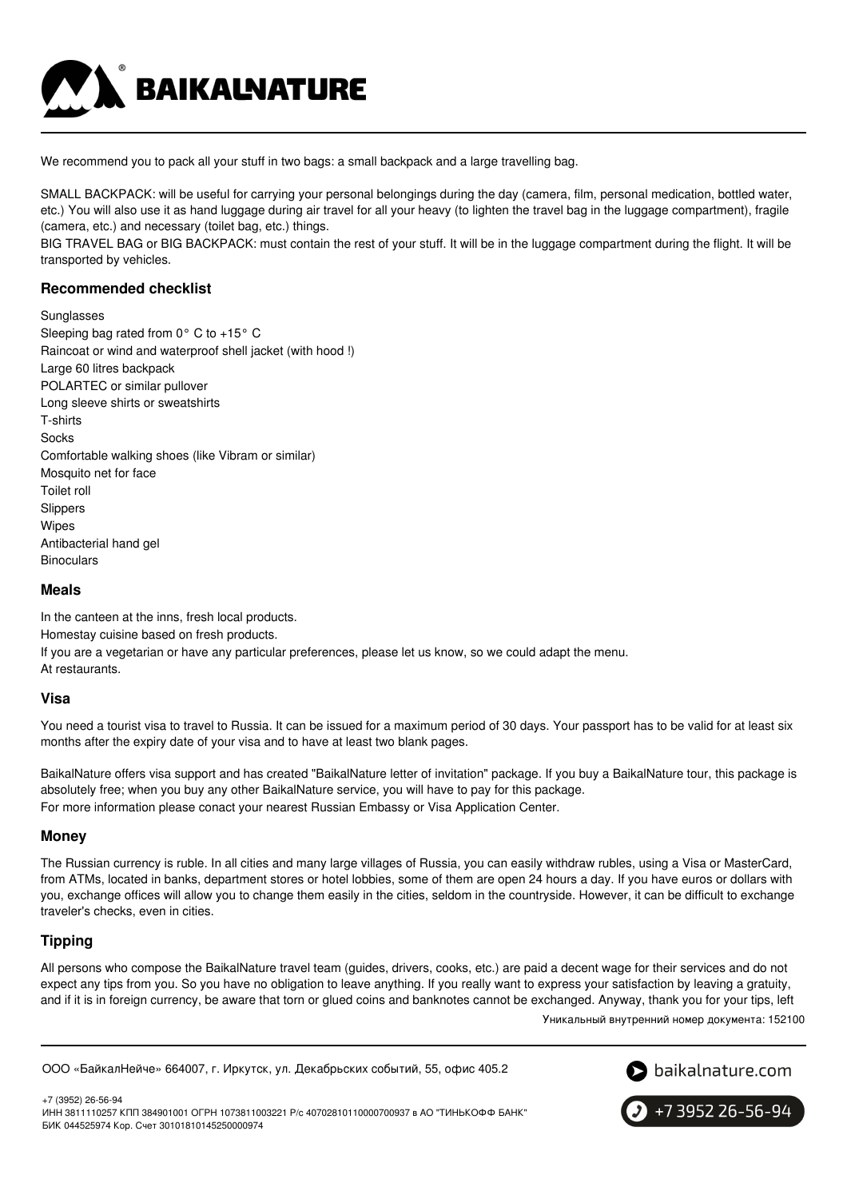

We recommend you to pack all your stuff in two bags: a small backpack and a large travelling bag.

SMALL BACKPACK: will be useful for carrying your personal belongings during the day (camera, film, personal medication, bottled water, etc.) You will also use it as hand luggage during air travel for all your heavy (to lighten the travel bag in the luggage compartment), fragile (camera, etc.) and necessary (toilet bag, etc.) things.

BIG TRAVEL BAG or BIG BACKPACK: must contain the rest of your stuff. It will be in the luggage compartment during the flight. It will be transported by vehicles.

# **Recommended checklist**

**Sunglasses** 

Sleeping bag rated from 0° C to +15° C Raincoat or wind and waterproof shell jacket (with hood !) Large 60 litres backpack POLARTEC or similar pullover Long sleeve shirts or sweatshirts T-shirts Socks Comfortable walking shoes (like Vibram or similar) Mosquito net for face Toilet roll Slippers Wipes Antibacterial hand gel **Binoculars** 

#### **Meals**

In the canteen at the inns, fresh local products. Homestay cuisine based on fresh products. If you are a vegetarian or have any particular preferences, please let us know, so we could adapt the menu. At restaurants.

#### **Visa**

You need a tourist visa to travel to Russia. It can be issued for a maximum period of 30 days. Your passport has to be valid for at least six months after the expiry date of your visa and to have at least two blank pages.

BaikalNature offers visa support and has created "BaikalNature letter of invitation" package. If you buy a BaikalNature tour, this package is absolutely free; when you buy any other BaikalNature service, you will have to pay for this package. For more information please conact your nearest Russian Embassy or Visa Application Center.

## **Money**

The Russian currency is ruble. In all cities and many large villages of Russia, you can easily withdraw rubles, using a Visa or MasterCard, from ATMs, located in banks, department stores or hotel lobbies, some of them are open 24 hours a day. If you have euros or dollars with you, exchange offices will allow you to change them easily in the cities, seldom in the countryside. However, it can be difficult to exchange traveler's checks, even in cities.

# **Tipping**

All persons who compose the BaikalNature travel team (guides, drivers, cooks, etc.) are paid a decent wage for their services and do not expect any tips from you. So you have no obligation to leave anything. If you really want to express your satisfaction by leaving a gratuity, and if it is in foreign currency, be aware that torn or glued coins and banknotes cannot be exchanged. Anyway, thank you for your tips, left

Уникальный внутренний номер документа: 152100

ООО «БайкалНейче» 664007, г. Иркутск, ул. Декабрьских событий, 55, офис 405.2



+7 (3952) 26-56-94 ИНН 3811110257 КПП 384901001 ОГРН 1073811003221 Р/с 40702810110000700937 в АО "ТИНЬКОФФ БАНК" БИК 044525974 Кор. Счет 30101810145250000974